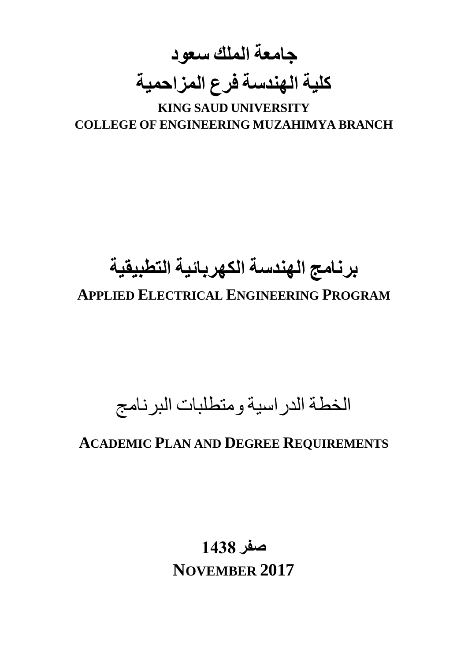**جامعة الملك سعود كلية الهندسة فرع المزاحمية**

**KING SAUD UNIVERSITY COLLEGE OF ENGINEERING MUZAHIMYA BRANCH**

# **برنامج الهندسة الكهربائية التطبيقية APPLIED ELECTRICAL ENGINEERING PROGRAM**

## الخطة الدراسية ومتطلبات البرنامج

## **ACADEMIC PLAN AND DEGREE REQUIREMENTS**

**صفر 1438 NOVEMBER 2017**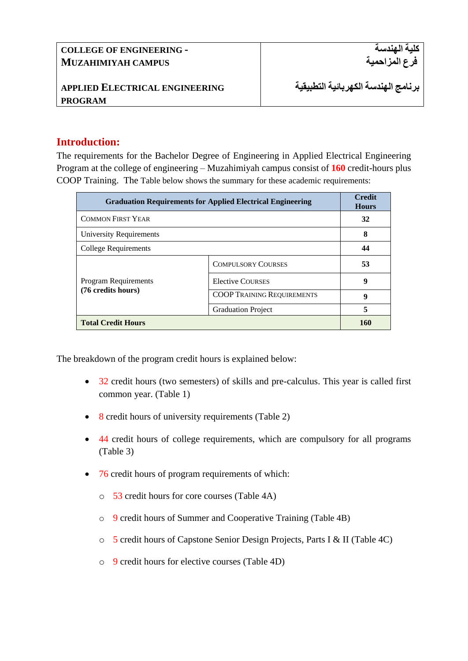#### **Introduction:**

The requirements for the Bachelor Degree of Engineering in Applied Electrical Engineering Program at the college of engineering – Muzahimiyah campus consist of **160** credit-hours plus COOP Training. The Table below shows the summary for these academic requirements:

| <b>Graduation Requirements for Applied Electrical Engineering</b> | <b>Credit</b><br><b>Hours</b>     |    |
|-------------------------------------------------------------------|-----------------------------------|----|
| <b>COMMON FIRST YEAR</b>                                          | 32                                |    |
| University Requirements                                           | 8                                 |    |
| College Requirements                                              | 44                                |    |
| <b>Program Requirements</b><br>(76 credits hours)                 | <b>COMPULSORY COURSES</b>         | 53 |
|                                                                   | <b>Elective COURSES</b>           | 9  |
|                                                                   | <b>COOP TRAINING REQUIREMENTS</b> | 9  |
|                                                                   | <b>Graduation Project</b>         | 5  |
| <b>Total Credit Hours</b>                                         | 160                               |    |

The breakdown of the program credit hours is explained below:

- 32 credit hours (two semesters) of skills and pre-calculus. This year is called first common year. (Table 1)
- 8 credit hours of university requirements (Table 2)
- 44 credit hours of college requirements, which are compulsory for all programs (Table 3)
- 76 credit hours of program requirements of which:
	- o 53 credit hours for core courses (Table 4A)
	- o 9 credit hours of Summer and Cooperative Training (Table 4B)
	- o 5 credit hours of Capstone Senior Design Projects, Parts I & II (Table 4C)
	- o 9 credit hours for elective courses (Table 4D)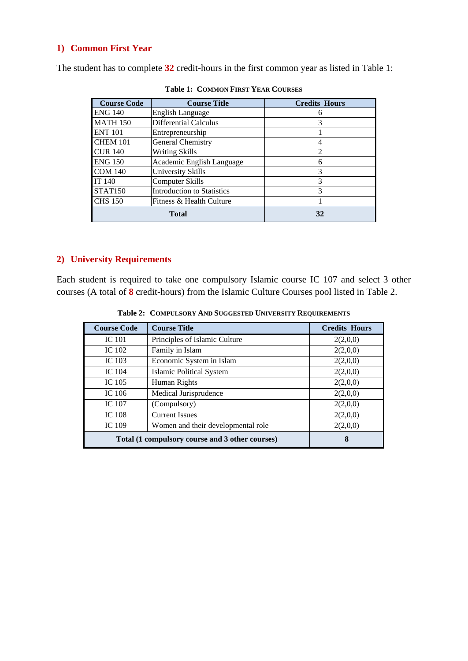#### **1) Common First Year**

The student has to complete **32** credit-hours in the first common year as listed in Table 1:

| <b>Course Code</b>  | <b>Course Title</b>               | <b>Credits Hours</b> |
|---------------------|-----------------------------------|----------------------|
| <b>ENG 140</b>      | English Language                  | 6                    |
| <b>MATH 150</b>     | <b>Differential Calculus</b>      | 3                    |
| <b>ENT 101</b>      | Entrepreneurship                  |                      |
| <b>CHEM 101</b>     | General Chemistry                 |                      |
| <b>CUR 140</b>      | <b>Writing Skills</b>             | 2                    |
| <b>ENG 150</b>      | Academic English Language         | 6                    |
| <b>COM 140</b>      | University Skills                 | 3                    |
| IT 140              | <b>Computer Skills</b>            | 3                    |
| STAT <sub>150</sub> | <b>Introduction to Statistics</b> | 3                    |
| <b>CHS 150</b>      | Fitness & Health Culture          |                      |
|                     | <b>Total</b>                      | 32                   |

**Table 1: COMMON FIRST YEAR COURSES**

### **2) University Requirements**

Each student is required to take one compulsory Islamic course IC 107 and select 3 other courses (A total of **8** credit-hours) from the Islamic Culture Courses pool listed in Table 2.

| <b>Course Code</b>                              | <b>Course Title</b>                | <b>Credits Hours</b> |
|-------------------------------------------------|------------------------------------|----------------------|
| <b>IC</b> 101                                   | Principles of Islamic Culture      | 2(2,0,0)             |
| IC 102                                          | Family in Islam                    | 2(2,0,0)             |
| IC 103                                          | Economic System in Islam           | 2(2,0,0)             |
| IC $104$                                        | <b>Islamic Political System</b>    | 2(2,0,0)             |
| IC 105                                          | Human Rights                       | 2(2,0,0)             |
| IC 106                                          | Medical Jurisprudence              | 2(2,0,0)             |
| <b>IC</b> 107                                   | (Compulsory)                       | 2(2,0,0)             |
| <b>IC 108</b>                                   | <b>Current Issues</b>              | 2(2,0,0)             |
| <b>IC</b> 109                                   | Women and their developmental role | 2(2,0,0)             |
| Total (1 compulsory course and 3 other courses) | 8                                  |                      |

**Table 2: COMPULSORY AND SUGGESTED UNIVERSITY REQUIREMENTS**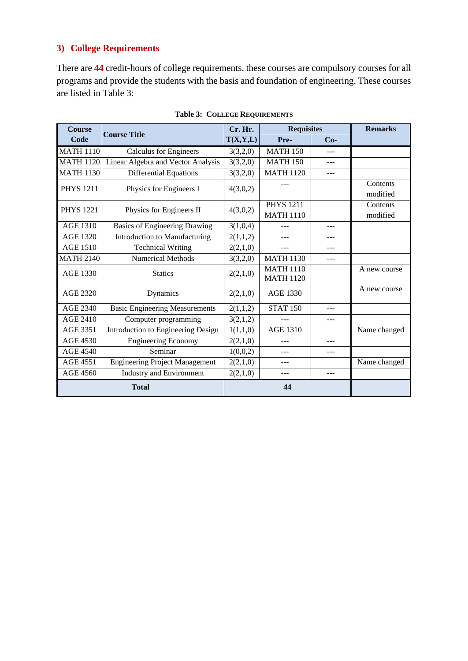#### **3) College Requirements**

There are **44** credit-hours of college requirements, these courses are compulsory courses for all programs and provide the students with the basis and foundation of engineering. These courses are listed in Table 3:

| <b>Course</b>    | <b>Course Title</b>                   |          | <b>Requisites</b><br>Cr. Hr.         |       | <b>Remarks</b>       |
|------------------|---------------------------------------|----------|--------------------------------------|-------|----------------------|
| Code             |                                       | T(X,Y,L) | Pre-                                 | $Co-$ |                      |
| <b>MATH 1110</b> | <b>Calculus for Engineers</b>         | 3(3,2,0) | <b>MATH 150</b>                      |       |                      |
| <b>MATH 1120</b> | Linear Algebra and Vector Analysis    | 3(3,2,0) | <b>MATH 150</b>                      |       |                      |
| <b>MATH 1130</b> | <b>Differential Equations</b>         | 3(3,2,0) | <b>MATH 1120</b>                     | ---   |                      |
| <b>PHYS 1211</b> | Physics for Engineers I               | 4(3,0,2) |                                      |       | Contents<br>modified |
| <b>PHYS</b> 1221 | Physics for Engineers II              | 4(3,0,2) | <b>PHYS 1211</b>                     |       | Contents             |
|                  |                                       |          | <b>MATH 1110</b>                     |       | modified             |
| <b>AGE 1310</b>  | <b>Basics of Engineering Drawing</b>  | 3(1,0,4) | $---$                                | ---   |                      |
| <b>AGE 1320</b>  | Introduction to Manufacturing         | 2(1,1,2) |                                      |       |                      |
| <b>AGE 1510</b>  | <b>Technical Writing</b>              | 2(2,1,0) |                                      |       |                      |
| <b>MATH 2140</b> | <b>Numerical Methods</b>              | 3(3,2,0) | <b>MATH 1130</b>                     | ---   |                      |
| AGE 1330         | <b>Statics</b>                        | 2(2,1,0) | <b>MATH 1110</b><br><b>MATH 1120</b> |       | A new course         |
| AGE 2320         | Dynamics                              | 2(2,1,0) | <b>AGE 1330</b>                      |       | A new course         |
| <b>AGE 2340</b>  | <b>Basic Engineering Measurements</b> | 2(1,1,2) | <b>STAT 150</b>                      | $---$ |                      |
| AGE 2410         | Computer programming                  | 3(2,1,2) |                                      |       |                      |
| AGE 3351         | Introduction to Engineering Design    | 1(1,1,0) | <b>AGE 1310</b>                      |       | Name changed         |
| <b>AGE 4530</b>  | <b>Engineering Economy</b>            | 2(2,1,0) | ---                                  |       |                      |
| <b>AGE 4540</b>  | Seminar                               | 1(0,0,2) | ---                                  |       |                      |
| <b>AGE 4551</b>  | <b>Engineering Project Management</b> | 2(2,1,0) | ---                                  |       | Name changed         |
| <b>AGE 4560</b>  | <b>Industry and Environment</b>       | 2(2,1,0) | ---                                  | $---$ |                      |
|                  | <b>Total</b>                          |          | 44                                   |       |                      |

**Table 3: COLLEGE REQUIREMENTS**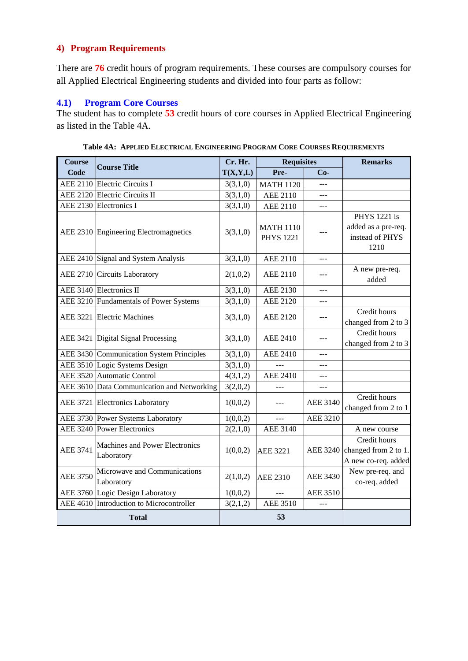#### **4) Program Requirements**

There are **76** credit hours of program requirements. These courses are compulsory courses for all Applied Electrical Engineering students and divided into four parts as follow:

#### **4.1) Program Core Courses**

The student has to complete **53** credit hours of core courses in Applied Electrical Engineering as listed in the Table 4A.

| <b>Course</b>   | <b>Course Title</b>                          | Cr. Hr.  | <b>Requisites</b>                    |                 | <b>Remarks</b>                                                        |  |
|-----------------|----------------------------------------------|----------|--------------------------------------|-----------------|-----------------------------------------------------------------------|--|
| Code            |                                              | T(X,Y,L) | Pre-                                 | $Co-$           |                                                                       |  |
|                 | AEE 2110 Electric Circuits I                 | 3(3,1,0) | <b>MATH 1120</b>                     | $---$           |                                                                       |  |
|                 | AEE 2120 Electric Circuits II                | 3(3,1,0) | <b>AEE 2110</b>                      | $- - -$         |                                                                       |  |
|                 | AEE 2130 Electronics I                       | 3(3,1,0) | <b>AEE 2110</b>                      |                 |                                                                       |  |
|                 | AEE 2310 Engineering Electromagnetics        | 3(3,1,0) | <b>MATH 1110</b><br><b>PHYS 1221</b> |                 | <b>PHYS</b> 1221 is<br>added as a pre-req.<br>instead of PHYS<br>1210 |  |
|                 | AEE 2410 Signal and System Analysis          | 3(3,1,0) | <b>AEE 2110</b>                      | $---$           |                                                                       |  |
|                 | AEE 2710 Circuits Laboratory                 | 2(1,0,2) | <b>AEE 2110</b>                      |                 | A new pre-req.<br>added                                               |  |
|                 | AEE 3140 Electronics II                      | 3(3,1,0) | <b>AEE 2130</b>                      | $---$           |                                                                       |  |
|                 | AEE 3210 Fundamentals of Power Systems       | 3(3,1,0) | <b>AEE 2120</b>                      | $- - -$         |                                                                       |  |
| <b>AEE 3221</b> | <b>Electric Machines</b>                     | 3(3,1,0) | <b>AEE 2120</b>                      | $---$           | Credit hours<br>changed from 2 to 3                                   |  |
|                 | AEE 3421 Digital Signal Processing           | 3(3,1,0) | <b>AEE 2410</b>                      | $- - -$         | Credit hours<br>changed from 2 to 3                                   |  |
|                 | AEE 3430 Communication System Principles     | 3(3,1,0) | <b>AEE 2410</b>                      | $---$           |                                                                       |  |
|                 | AEE 3510 Logic Systems Design                | 3(3,1,0) |                                      | $---$           |                                                                       |  |
|                 | AEE 3520 Automatic Control                   | 4(3,1,2) | <b>AEE 2410</b>                      | $---$           |                                                                       |  |
|                 | AEE 3610 Data Communication and Networking   | 3(2,0,2) |                                      | ---             |                                                                       |  |
|                 | AEE 3721 Electronics Laboratory              | 1(0,0,2) |                                      | <b>AEE 3140</b> | Credit hours<br>changed from 2 to 1                                   |  |
|                 | AEE 3730 Power Systems Laboratory            | 1(0,0,2) | 222                                  | <b>AEE 3210</b> |                                                                       |  |
|                 | AEE 3240 Power Electronics                   | 2(2,1,0) | <b>AEE 3140</b>                      |                 | A new course                                                          |  |
| <b>AEE 3741</b> | Machines and Power Electronics<br>Laboratory | 1(0,0,2) | <b>AEE 3221</b>                      | <b>AEE 3240</b> | Credit hours<br>changed from 2 to 1.<br>A new co-req. added           |  |
| <b>AEE 3750</b> | Microwave and Communications<br>Laboratory   | 2(1,0,2) | <b>AEE 2310</b>                      | <b>AEE 3430</b> | New pre-req. and<br>co-req. added                                     |  |
|                 | AEE 3760 Logic Design Laboratory             | 1(0,0,2) |                                      | <b>AEE 3510</b> |                                                                       |  |
| <b>AEE 4610</b> | Introduction to Microcontroller              | 3(2,1,2) | <b>AEE 3510</b>                      | $-$             |                                                                       |  |
| <b>Total</b>    |                                              |          | 53                                   |                 |                                                                       |  |

**Table 4A: APPLIED ELECTRICAL ENGINEERING PROGRAM CORE COURSES REQUIREMENTS**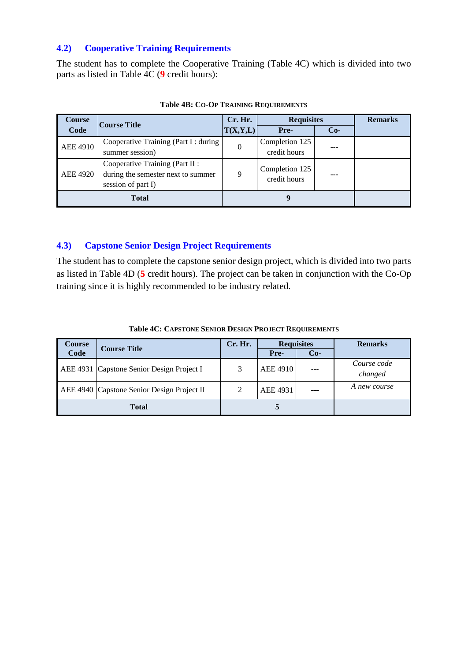#### **4.2) Cooperative Training Requirements**

The student has to complete the Cooperative Training (Table 4C) which is divided into two parts as listed in Table 4C (**9** credit hours):

| <b>Course</b>   | <b>Course Title</b>                   | Cr. Hr.<br><b>Requisites</b> |                |              | <b>Remarks</b> |  |
|-----------------|---------------------------------------|------------------------------|----------------|--------------|----------------|--|
| Code            |                                       | T(X,Y,L)                     | Pre-           | $Co-$        |                |  |
| <b>AEE 4910</b> | Cooperative Training (Part I : during | $\overline{0}$               | Completion 125 |              |                |  |
|                 | summer session)                       |                              | credit hours   |              |                |  |
|                 | Cooperative Training (Part II :       |                              | Completion 125 |              |                |  |
| AEE 4920        | during the semester next to summer    | 9                            |                | credit hours |                |  |
|                 | session of part I)                    |                              |                |              |                |  |
| <b>Total</b>    |                                       |                              |                |              |                |  |

**Table 4B: CO-OP TRAINING REQUIREMENTS**

#### **4.3) Capstone Senior Design Project Requirements**

The student has to complete the capstone senior design project, which is divided into two parts as listed in Table 4D (**5** credit hours). The project can be taken in conjunction with the Co-Op training since it is highly recommended to be industry related.

| <b>Course</b> | <b>Course Title</b>                        |   | <b>Requisites</b> |       | <b>Remarks</b>         |
|---------------|--------------------------------------------|---|-------------------|-------|------------------------|
| Code          |                                            |   | Pre-              | $Co-$ |                        |
|               | AEE 4931 Capstone Senior Design Project I  | 3 | <b>AEE 4910</b>   |       | Course code<br>changed |
|               | AEE 4940 Capstone Senior Design Project II | 2 | AEE 4931          |       | A new course           |
| <b>Total</b>  |                                            |   | €                 |       |                        |

**Table 4C: CAPSTONE SENIOR DESIGN PROJECT REQUIREMENTS**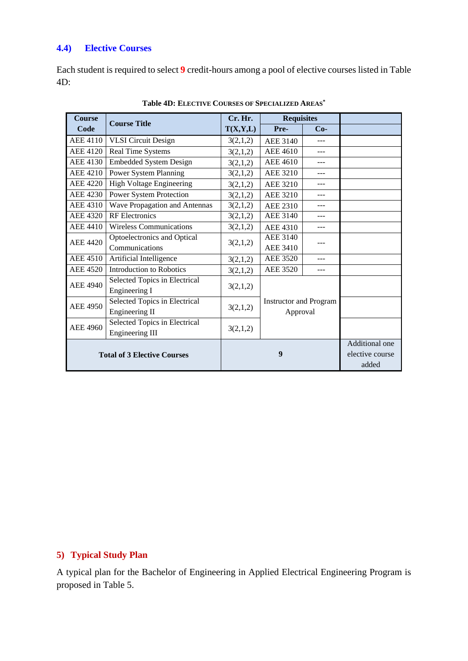#### **4.4) Elective Courses**

Each student is required to select **9** credit-hours among a pool of elective courses listed in Table 4D:

| <b>Course</b>                      | <b>Course Title</b>             | Cr. Hr.                       | <b>Requisites</b>    |                |                 |
|------------------------------------|---------------------------------|-------------------------------|----------------------|----------------|-----------------|
| Code                               |                                 | T(X,Y,L)                      | Pre-                 | $Co-$          |                 |
| AEE 4110                           | <b>VLSI</b> Circuit Design      | 3(2,1,2)                      | <b>AEE 3140</b>      | ---            |                 |
| AEE 4120                           | Real Time Systems               | 3(2,1,2)                      | AEE 4610             | ---            |                 |
| <b>AEE 4130</b>                    | <b>Embedded System Design</b>   | 3(2,1,2)                      | <b>AEE 4610</b>      | ---            |                 |
| <b>AEE 4210</b>                    | Power System Planning           | 3(2,1,2)                      | AEE 3210             | $---$          |                 |
| AEE 4220                           | <b>High Voltage Engineering</b> | 3(2,1,2)                      | AEE 3210             | ---            |                 |
| <b>AEE 4230</b>                    | Power System Protection         | 3(2,1,2)                      | <b>AEE 3210</b>      | $- - -$        |                 |
| AEE 4310                           | Wave Propagation and Antennas   | 3(2,1,2)                      | <b>AEE 2310</b>      |                |                 |
| AEE 4320                           | <b>RF</b> Electronics           | 3(2,1,2)                      | AEE 3140             | ---            |                 |
| AEE 4410                           | Wireless Communications         | 3(2,1,2)                      | AEE 4310             | ---            |                 |
| AEE 4420                           | Optoelectronics and Optical     | 3(2,1,2)                      | <b>AEE 3140</b>      |                |                 |
|                                    | Communications                  |                               | <b>AEE 3410</b>      |                |                 |
| <b>AEE 4510</b>                    | Artificial Intelligence         | 3(2,1,2)                      | <b>AEE 3520</b>      | ---            |                 |
| <b>AEE 4520</b>                    | Introduction to Robotics        | 3(2,1,2)                      | <b>AEE 3520</b>      | ---            |                 |
| <b>AEE 4940</b>                    | Selected Topics in Electrical   |                               |                      |                |                 |
|                                    | Engineering I                   | 3(2,1,2)                      |                      |                |                 |
| <b>AEE 4950</b>                    | Selected Topics in Electrical   | <b>Instructor and Program</b> |                      |                |                 |
|                                    | Engineering II                  |                               | 3(2,1,2)<br>Approval |                |                 |
| <b>AEE 4960</b>                    | Selected Topics in Electrical   | 3(2,1,2)                      |                      |                |                 |
|                                    | <b>Engineering III</b>          |                               |                      |                |                 |
| <b>Total of 3 Elective Courses</b> |                                 |                               |                      | Additional one |                 |
|                                    |                                 | 9                             |                      |                | elective course |
|                                    |                                 |                               |                      |                | added           |

**Table 4D: ELECTIVE COURSES OF SPECIALIZED AREAS\***

#### **5) Typical Study Plan**

A typical plan for the Bachelor of Engineering in Applied Electrical Engineering Program is proposed in Table 5.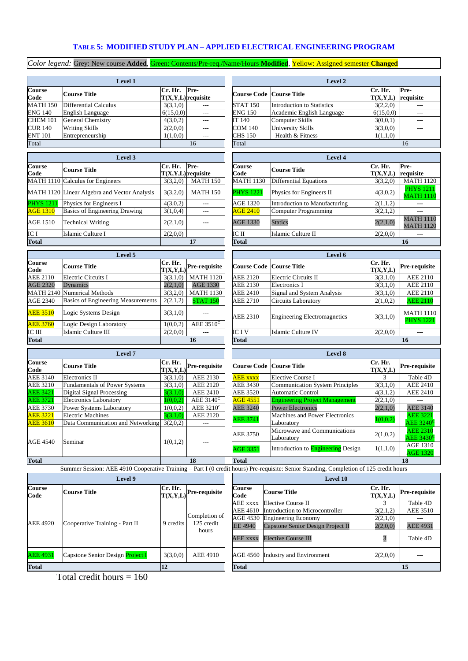#### **TABLE 5: MODIFIED STUDY PLAN – APPLIED ELECTRICAL ENGINEERING PROGRAM**

*Color legend:* Grey: New course **Added**, Green: Contents/Pre-req./Name/Hours **Modified**, Yellow: Assigned semester **Changed**

|                                    | Level 1                                                                |                      |                                                                              | <b>Level 2</b>        |                                                                                                                                        |                         |                                            |  |
|------------------------------------|------------------------------------------------------------------------|----------------------|------------------------------------------------------------------------------|-----------------------|----------------------------------------------------------------------------------------------------------------------------------------|-------------------------|--------------------------------------------|--|
| <b>Course</b><br>Code              | <b>Course Title</b>                                                    | Cr. Hr.              | Pre-<br>$T(X,Y,L)$ requisite                                                 |                       | <b>Course Code Course Title</b>                                                                                                        | Cr. Hr.<br>T(X,Y,L)     | Pre-<br>requisite                          |  |
| <b>MATH 150</b>                    | <b>Differential Calculus</b>                                           | 3(3,1,0)             |                                                                              | <b>STAT 150</b>       | <b>Introduction to Statistics</b>                                                                                                      | 3(2,2,0)                | $\overline{a}$                             |  |
| <b>ENG 140</b>                     | <b>English Language</b>                                                | 6(15,0,0)            | $\overline{a}$                                                               | <b>ENG 150</b>        | Academic English Language                                                                                                              | 6(15,0,0)               | $\overline{a}$                             |  |
| <b>CHEM 101</b>                    | <b>General Chemistry</b>                                               | 4(3,0,2)             | $---$                                                                        | IT 140                | Computer Skills                                                                                                                        | 3(0,0,1)                | $---$                                      |  |
| <b>CUR 140</b>                     | <b>Writing Skills</b>                                                  | 2(2,0,0)             | ---                                                                          | COM 140               | <b>University Skills</b>                                                                                                               | 3(3,0,0)                | $\overline{a}$                             |  |
| <b>ENT 101</b>                     | Entrepreneurship                                                       | 1(1,0,0)             | $---$                                                                        | CHS 150               | Health & Fitness                                                                                                                       | 1(1,1,0)                | 16                                         |  |
| Total                              |                                                                        |                      | 16                                                                           | Total                 |                                                                                                                                        |                         |                                            |  |
|                                    | Level 3                                                                |                      |                                                                              |                       | Level 4                                                                                                                                |                         |                                            |  |
| <b>Course</b>                      | <b>Course Title</b>                                                    | Cr. Hr.              | Pre-                                                                         | Course                | <b>Course Title</b>                                                                                                                    | Cr. Hr.                 | Pre-                                       |  |
| Code                               |                                                                        | $T(X,Y,L)$ requisite |                                                                              | Code                  |                                                                                                                                        | T(X,Y,L)                | requisite                                  |  |
| MATH 1110                          | <b>Calculus</b> for Engineers                                          | 3(3,2,0)             | <b>MATH 150</b>                                                              | <b>MATH 1130</b>      | <b>Differential Equations</b>                                                                                                          | 3(3,2,0)                | <b>MATH 1120</b>                           |  |
| MATH 1120                          | Linear Algebra and Vector Analysis                                     | 3(3,2,0)             | <b>MATH 150</b>                                                              | <b>PHYS</b> 1221      | Physics for Engineers II                                                                                                               | 4(3,0,2)                | <b>PHYS</b> 1211<br><b>MATH 1110</b>       |  |
| <b>PHYS 121</b>                    | Physics for Engineers I                                                | 4(3,0,2)             | $\overline{a}$                                                               | <b>AGE 1320</b>       | <b>Introduction to Manufacturing</b>                                                                                                   | 2(1,1,2)                | $\overline{a}$                             |  |
| <b>AGE 1310</b>                    | <b>Basics of Engineering Drawing</b>                                   | 3(1,0,4)             | $---$                                                                        | <b>AGE 2410</b>       | <b>Computer Programming</b>                                                                                                            | 3(2,1,2)                | $\overline{a}$                             |  |
| <b>AGE 1510</b>                    | <b>Technical Writing</b>                                               | 2(2,1,0)             | $---$                                                                        | <b>AGE 1330</b>       | <b>Statics</b>                                                                                                                         | 2(2,1,0)                | <b>MATH 1110</b><br><b>MATH 1120</b>       |  |
| IC I                               | Islamic Culture I                                                      | 2(2,0,0)             |                                                                              | IC II                 | Islamic Culture II                                                                                                                     | 2(2,0,0)                | $---$                                      |  |
| <b>Total</b>                       |                                                                        |                      | 17                                                                           | <b>Total</b>          |                                                                                                                                        |                         | 16                                         |  |
|                                    | Level 5                                                                |                      |                                                                              |                       | Level 6                                                                                                                                |                         |                                            |  |
| <b>Course</b><br>Code              | <b>Course Title</b>                                                    | Cr. Hr.<br>T(X,Y,L)  | Pre-requisite                                                                |                       | <b>Course Code Course Title</b>                                                                                                        | Cr. Hr.<br>T(X,Y,L)     | Pre-requisite                              |  |
| <b>AEE 2110</b>                    | <b>Electric Circuits I</b>                                             | 3(3,1,0)             | <b>MATH 1120</b>                                                             | AEE 2120              | Electric Circuits II                                                                                                                   | 3(3,1,0)                | AEE 2110                                   |  |
| <b>AGE 2320</b>                    | Dynamics                                                               | 2(2,1,0)             | <b>AGE 1330</b>                                                              | AEE 2130              | Electronics I                                                                                                                          | 3(3,1,0)                | AEE 2110                                   |  |
| <b>MATH 2140</b>                   | <b>Numerical Methods</b>                                               | 3(3,2,0)             | <b>MATH 1130</b>                                                             | <b>AEE 2410</b>       | Signal and System Analysis                                                                                                             | 3(3,1,0)                | <b>AEE 2110</b>                            |  |
| <b>AGE 2340</b>                    | <b>Basics of Engineering Measurements</b>                              | 2(2,1,2)             | <b>STAT 150</b>                                                              | AEE 2710              | <b>Circuits Laboratory</b>                                                                                                             | 2(1,0,2)                | <b>AEE 2110</b>                            |  |
| <b>AEE 3510</b>                    | Logic Systems Design                                                   | 3(3,1,0)             | ---                                                                          | AEE 2310              | <b>Engineering Electromagnetics</b>                                                                                                    | 3(3,1,0)                | MATH 1110                                  |  |
| <b>AEE 3760</b>                    | Logic Design Laboratory                                                | 1(0,0,2)             | AEE $3510^{\circ}$                                                           |                       |                                                                                                                                        |                         | <b>PHYS 1221</b>                           |  |
| IC III                             | Islamic Culture III                                                    | 2(2,0,0)             |                                                                              | IC I V                | Islamic Culture IV                                                                                                                     | 2(2,0,0)                | $\overline{\phantom{a}}$                   |  |
| <b>Total</b>                       |                                                                        |                      | 16                                                                           | <b>Total</b>          |                                                                                                                                        |                         | 16                                         |  |
|                                    | Level 7                                                                |                      |                                                                              |                       | Level 8                                                                                                                                |                         |                                            |  |
| Course<br>Code                     | <b>Course Title</b>                                                    | Cr. Hr.<br>T(X,Y,L)  | Pre-requisite                                                                | <b>Course Code</b>    | <b>Course Title</b>                                                                                                                    | Cr. Hr.<br>T(X,Y,L)     | Pre-requisite                              |  |
| <b>AEE 3140</b>                    | <b>Electronics II</b>                                                  | 3(3,1,0)             | AEE 2130                                                                     | <b>AEE</b> xxxx       | <b>Elective Course I</b>                                                                                                               | 3                       | Table 4D                                   |  |
| AEE 3210                           | <b>Fundamentals of Power Systems</b>                                   | 3(3,1,0)             | AEE 2120                                                                     | AEE 3430              | <b>Communication System Principles</b>                                                                                                 | 3(3,1,0)                | <b>AEE 2410</b>                            |  |
| <b>AEE 3421</b>                    | <b>Digital Signal Processing</b>                                       | 3(3,1,0)             | <b>AEE 2410</b>                                                              | AEE 3520              | <b>Automatic Control</b>                                                                                                               | 4(3,1,2)                | <b>AEE 2410</b>                            |  |
| <b>AEE 3721</b>                    | <b>Electronics Laboratory</b>                                          | 1(0,0,2)             | AEE $3140^{\circ}$                                                           | <b>AGE 4551</b>       | <b>Engineering Project Management</b>                                                                                                  | 2(2,1,0)                |                                            |  |
| <b>AEE 3730</b>                    | Power Systems Laboratory                                               | 1(0,0,2)             | AEE 3210 <sup>c</sup>                                                        | AEE 3240              | <b>Power Electronics</b>                                                                                                               | 2(2,1,0)                | AEE 3140                                   |  |
| <b>AEE 3221</b><br><b>AEE 3610</b> | <b>Electric Machines</b><br>Data Communication and Networking 3(2,0,2) | 3(3,1,0)             | <b>AEE 2120</b><br>$---$                                                     | <b>AEE 3741</b>       | Machines and Power Electronics<br>Laboratory                                                                                           | 1(0,0,2)                | <b>AEE 3221</b><br>$AEE$ 3240 <sup>c</sup> |  |
|                                    |                                                                        |                      |                                                                              | <b>AEE 3750</b>       | Microwave and Communications<br>Laboratory                                                                                             | 2(1,0,2)                | <b>AEE 2310</b><br>$\rm AEE~3430^0$        |  |
| AGE 4540                           | Seminar                                                                | 1(0,1,2)             |                                                                              | <b>AGE 3351</b>       | Introduction to <b>Engineering</b> Design                                                                                              | 1(1,1,0)                | <b>AGE 1310</b><br><b>AGE 1320</b>         |  |
| <b>Total</b>                       |                                                                        |                      | 18                                                                           | <b>Total</b>          |                                                                                                                                        |                         | 18                                         |  |
|                                    |                                                                        |                      |                                                                              |                       | Summer Session: AEE 4910 Cooperative Training - Part I (0 credit hours) Pre-requisite: Senior Standing, Completion of 125 credit hours |                         |                                            |  |
|                                    | Level 9                                                                |                      |                                                                              |                       | Level 10                                                                                                                               |                         |                                            |  |
| Course<br>Code                     | <b>Course Title</b>                                                    |                      | $\frac{\overbrace{\text{T(X,Y,L)}}^{\text{T(X,Y,L)}}}{\text{Pre-reguistic}}$ | <b>Course</b><br>Code | <b>Course Title</b>                                                                                                                    | Cr. Hr.<br>T(X,Y,L)     | Pre-requisite                              |  |
|                                    |                                                                        |                      |                                                                              | <b>AEE</b> xxxx       | <b>Elective Course II</b>                                                                                                              | 3                       | Table 4D                                   |  |
|                                    |                                                                        |                      |                                                                              | <b>AEE 4610</b>       | Introduction to Microcontroller                                                                                                        | 3(2,1,2)                | AEE 3510                                   |  |
|                                    |                                                                        |                      | Completion of                                                                | <b>AGE 4530</b>       | <b>Engineering Economy</b>                                                                                                             | 2(2,1,0)                |                                            |  |
| <b>AEE 4920</b>                    | Cooperative Training - Part II                                         | 9 credits            | 125 credit<br>hours                                                          | EE 4940               | Capstone Senior Design Project II                                                                                                      | 2(2,0,0)                | AEE 4931                                   |  |
|                                    |                                                                        |                      |                                                                              | <b>AEE</b> xxxx       | <b>Elective Course III</b>                                                                                                             | $\overline{\mathbf{3}}$ | Table 4D                                   |  |
| <b>AEE 4931</b>                    | Capstone Senior Design Project I                                       | 3(3,0,0)             | <b>AEE 4910</b>                                                              | AGE 4560              | Industry and Environment                                                                                                               | 2(2,0,0)                | $\overline{a}$                             |  |
| <b>Total</b>                       |                                                                        | $\overline{12}$      |                                                                              | <b>Total</b>          |                                                                                                                                        |                         | 15                                         |  |

Total credit hours  $= 160$